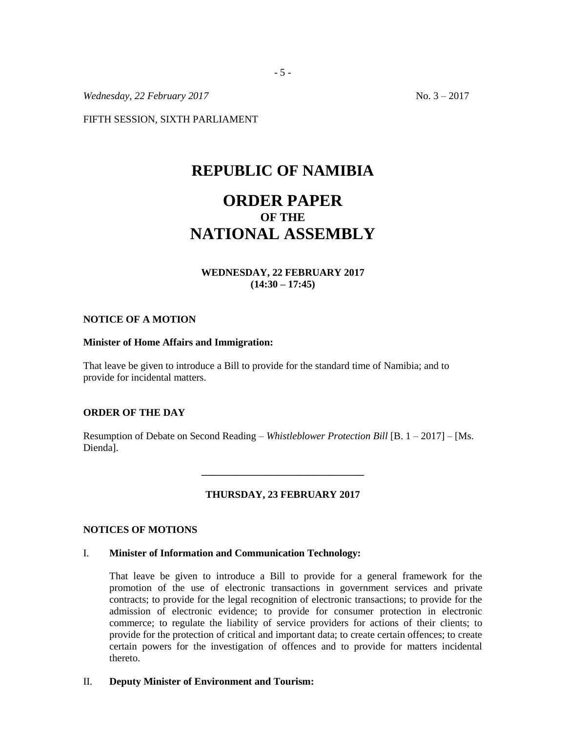*Wednesday, 22 February 2017* No. 3 – 2017

FIFTH SESSION, SIXTH PARLIAMENT

## **REPUBLIC OF NAMIBIA**

# **ORDER PAPER OF THE NATIONAL ASSEMBLY**

## **WEDNESDAY, 22 FEBRUARY 2017 (14:30 – 17:45)**

#### **NOTICE OF A MOTION**

### **Minister of Home Affairs and Immigration:**

That leave be given to introduce a Bill to provide for the standard time of Namibia; and to provide for incidental matters.

## **ORDER OF THE DAY**

Resumption of Debate on Second Reading – *Whistleblower Protection Bill* [B. 1 – 2017] – [Ms. Dienda].

## **THURSDAY, 23 FEBRUARY 2017**

**\_\_\_\_\_\_\_\_\_\_\_\_\_\_\_\_\_\_\_\_\_\_\_\_\_\_\_\_\_\_\_\_**

## **NOTICES OF MOTIONS**

#### I. **Minister of Information and Communication Technology:**

That leave be given to introduce a Bill to provide for a general framework for the promotion of the use of electronic transactions in government services and private contracts; to provide for the legal recognition of electronic transactions; to provide for the admission of electronic evidence; to provide for consumer protection in electronic commerce; to regulate the liability of service providers for actions of their clients; to provide for the protection of critical and important data; to create certain offences; to create certain powers for the investigation of offences and to provide for matters incidental thereto.

## II. **Deputy Minister of Environment and Tourism:**